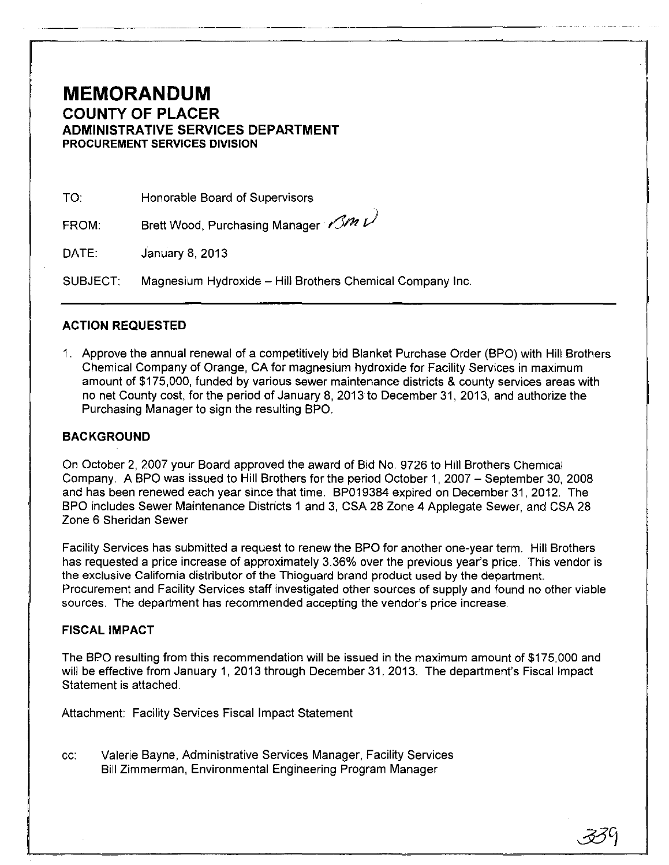## **MEMORANDUM COUNTY OF PLACER ADMINISTRATIVE SERVICES DEPARTMENT PROCUREMENT SERVICES DIVISION**

.----------- --------. ----

TO: Honorable Board of Supervisors

FROM: Brett Wood, Purchasing Manager r $\mathscr{S}\hspace{-0.01cm}\mathscr{M}\nu^{j}$ 

DATE: January 8, 2013

SUBJECT: Magnesium Hydroxide - Hill Brothers Chemical Company Inc.

#### **ACTION REQUESTED**

1. Approve the annual renewal of a competitively bid Blanket Purchase Order (BPO) with Hill Brothers Chemical Company of Orange, CA for magnesium hydroxide for Facility Services in maximum amount of \$175,000, funded by various sewer maintenance districts & county services areas with no net County cost, for the period of January 8, 2013 to December 31, 2013, and authorize the Purchasing Manager to sign the resulting BPO.

### **BACKGROUND**

On October 2, 2007 your Board approved the award of Bid No. 9726 to Hill Brothers Chemical Company. A BPO was issued to Hill Brothers for the period October 1, 2007 - September 30, 2008 and has been renewed each year since that time. BP019384 expired on December 31,2012. The BPO includes Sewer Maintenance Districts 1 and 3, CSA 28 Zone 4 Applegate Sewer, and CSA 28 Zone 6 Sheridan Sewer

Facility Services has submitted a request to renew the BPO for another one-year term. Hill Brothers has requested a price increase of approximately 3.36% over the previous year's price. This vendor is the eXClusive California distributor of the Thioguard brand product used by the department. Procurement and Facility Services staff investigated other sources of supply and found no other viable sources. The department has recommended accepting the vendor's price increase.

#### **FISCAL IMPACT**

The BPO resulting from this recommendation will be issued in the maximum amount of \$175,000 and will be effective from January 1, 2013 through December 31, 2013. The department's Fiscal Impact Statement is attached.

Attachment: Facility Services Fiscal Impact Statement

cc: Valerie Bayne, Administrative Services Manager, Facility Services Bill Zimmerman, Environmental Engineering Program Manager